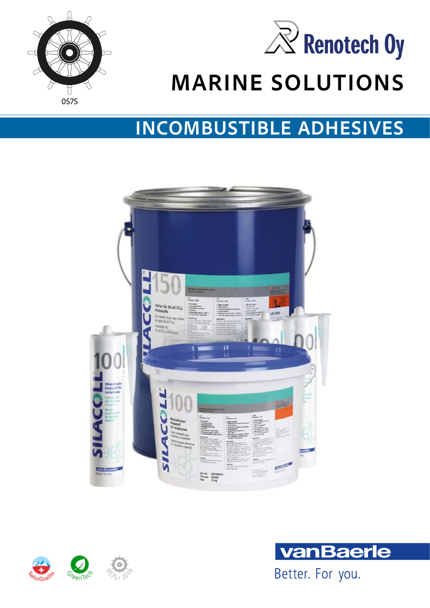



# **MARINE SOLUTIONS**

### **INCOMBUSTIBLE ADHESIVES**





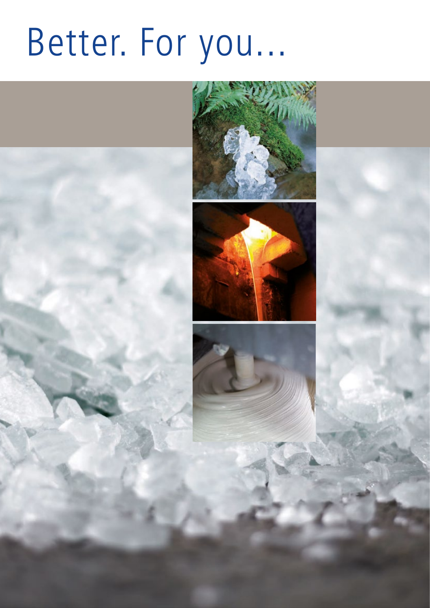# Better. For you...

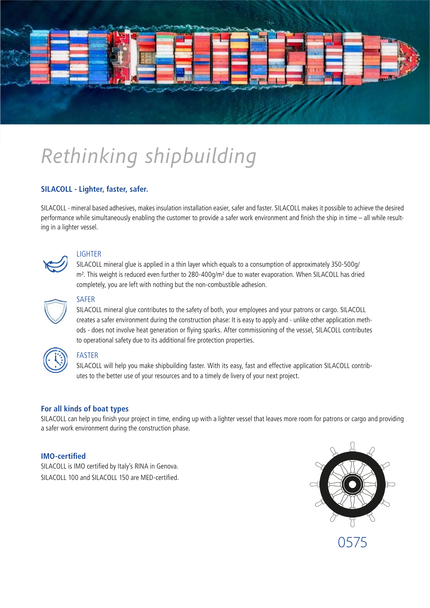

# *Rethinking shipbuilding*

#### **SILACOLL - Lighter, faster, safer.**

SILACOLL - mineral based adhesives, makes insulation installation easier, safer and faster. SILACOLL makes it possible to achieve the desired performance while simultaneously enabling the customer to provide a safer work environment and finish the ship in time – all while resulting in a lighter vessel.



#### LIGHTER

SILACOLL mineral glue is applied in a thin layer which equals to a consumption of approximately 350-500g/ m<sup>2</sup>. This weight is reduced even further to 280-400g/m<sup>2</sup> due to water evaporation. When SILACOLL has dried completely, you are left with nothing but the non-combustible adhesion.



#### SAFER

SILACOLL mineral glue contributes to the safety of both, your employees and your patrons or cargo. SILACOLL creates a safer environment during the construction phase: It is easy to apply and - unlike other application methods - does not involve heat generation or flying sparks. After commissioning of the vessel, SILACOLL contributes to operational safety due to its additional fire protection properties.



#### FASTER

SILACOLL will help you make shipbuilding faster. With its easy, fast and effective application SILACOLL contributes to the better use of your resources and to a timely de livery of your next project.

#### **For all kinds of boat types**

SILACOLL can help you finish your project in time, ending up with a lighter vessel that leaves more room for patrons or cargo and providing a safer work environment during the construction phase.

#### **IMO-certified**

SILACOLL is IMO certified by Italy's RINA in Genova. SILACOLL 100 and SILACOLL 150 are MED-certified.

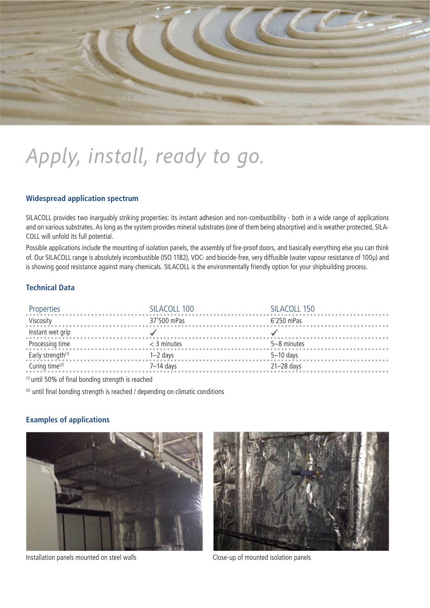

# *Apply, install, ready to go.*

#### **Widespread application spectrum**

SILACOLL provides two inarguably striking properties: its instant adhesion and non-combustibility - both in a wide range of applications and on various substrates. As long as the system provides mineral substrates (one of them being absorptive) and is weather protected, SILA-COLL will unfold its full potential.

Possible applications include the mounting of isolation panels, the assembly of fire-proof doors, and basically everything else you can think of. Our SILACOLL range is absolutely incombustible (ISO 1182), VOC- and biocide-free, very diffusible (water vapour resistance of 100μ) and is showing good resistance against many chemicals. SILACOLL is the environmentally friendly option for your shipbuilding process.

#### **Technical Data**

| Properties<br>and the continuum of the continuum of the continuum of the continuum of the continuum of the continuum of the continuum of the continuum of the continuum of the continuum of the continuum of the continuum of th | SILACOLL 100 | SILACOLL 150 |
|----------------------------------------------------------------------------------------------------------------------------------------------------------------------------------------------------------------------------------|--------------|--------------|
| Viscosity 37'500 mPas 6'                                                                                                                                                                                                         |              | 6'250 mPas   |
| Instant wet grip                                                                                                                                                                                                                 |              |              |
| Processing time $\leq$ 3 minutes                                                                                                                                                                                                 |              | 5-8 minutes  |
| Early strength <sup>(1)</sup> $1-2$ days $5-10$ days                                                                                                                                                                             |              |              |
| Curing time <sup>(2)</sup> $7-14$ days                                                                                                                                                                                           |              | 21-28 days   |

(1) until 50% of final bonding strength is reached

 $(2)$  until final bonding strength is reached / depending on climatic conditions

#### **Examples of applications**



Installation panels mounted on steel walls Close-up of mounted isolation panels

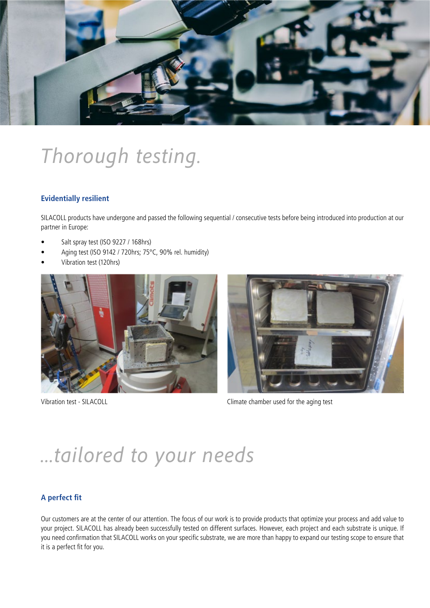

### *Thorough testing.*

#### **Evidentially resilient**

SILACOLL products have undergone and passed the following sequential / consecutive tests before being introduced into production at our partner in Europe:

- Salt spray test (ISO 9227 / 168hrs)
- Aging test (ISO 9142 / 720hrs; 75°C, 90% rel. humidity)
- Vibration test (120hrs)





Vibration test - SILACOLL **COLL** Climate chamber used for the aging test

### *...tailored to your needs*

#### **A perfect fit**

Our customers are at the center of our attention. The focus of our work is to provide products that optimize your process and add value to your project. SILACOLL has already been successfully tested on different surfaces. However, each project and each substrate is unique. If you need confirmation that SILACOLL works on your specific substrate, we are more than happy to expand our testing scope to ensure that it is a perfect fit for you.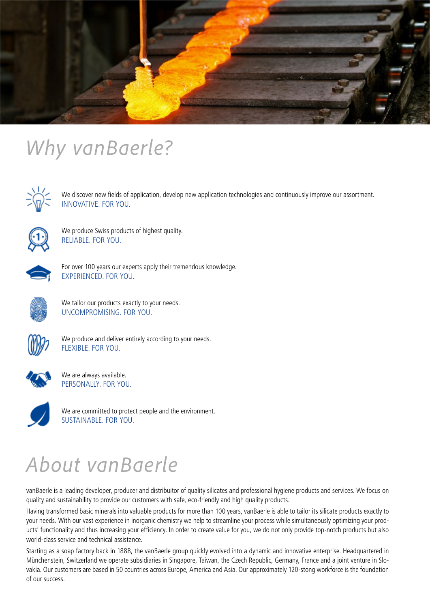

### *Why vanBaerle?*



We discover new fields of application, develop new application technologies and continuously improve our assortment. INNOVATIVE. FOR YOU.



We produce Swiss products of highest quality. RELIABLE. FOR YOU.



For over 100 years our experts apply their tremendous knowledge. EXPERIENCED. FOR YOU.



We tailor our products exactly to your needs. UNCOMPROMISING. FOR YOU.



We produce and deliver entirely according to your needs. FLEXIBLE. FOR YOU.



We are always available. PERSONALLY. FOR YOU.



We are committed to protect people and the environment. SUSTAINABLE. FOR YOU.

### *About vanBaerle*

vanBaerle is a leading developer, producer and distribuitor of quality silicates and professional hygiene products and services. We focus on quality and sustainability to provide our customers with safe, eco-friendly and high quality products.

Having transformed basic minerals into valuable products for more than 100 years, vanBaerle is able to tailor its silicate products exactly to your needs. With our vast experience in inorganic chemistry we help to streamline your process while simultaneously optimizing your products' functionality and thus increasing your efficiency. In order to create value for you, we do not only provide top-notch products but also world-class service and technical assistance.

Starting as a soap factory back in 1888, the vanBaerle group quickly evolved into a dynamic and innovative enterprise. Headquartered in Münchenstein, Switzerland we operate subsidiaries in Singapore, Taiwan, the Czech Republic, Germany, France and a joint venture in Slovakia. Our customers are based in 50 countries across Europe, America and Asia. Our approximately 120-stong workforce is the foundation of our success.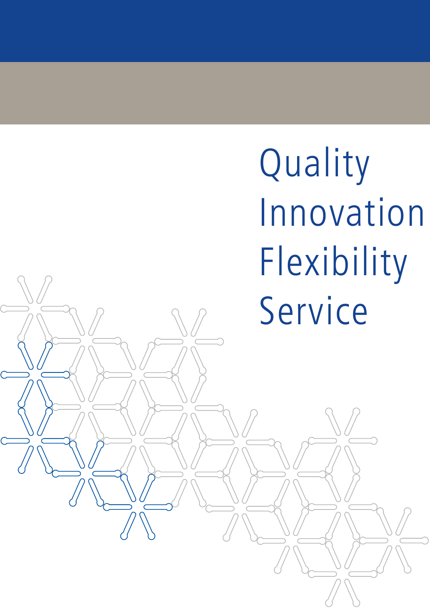Flexibility Service Innovation Quality